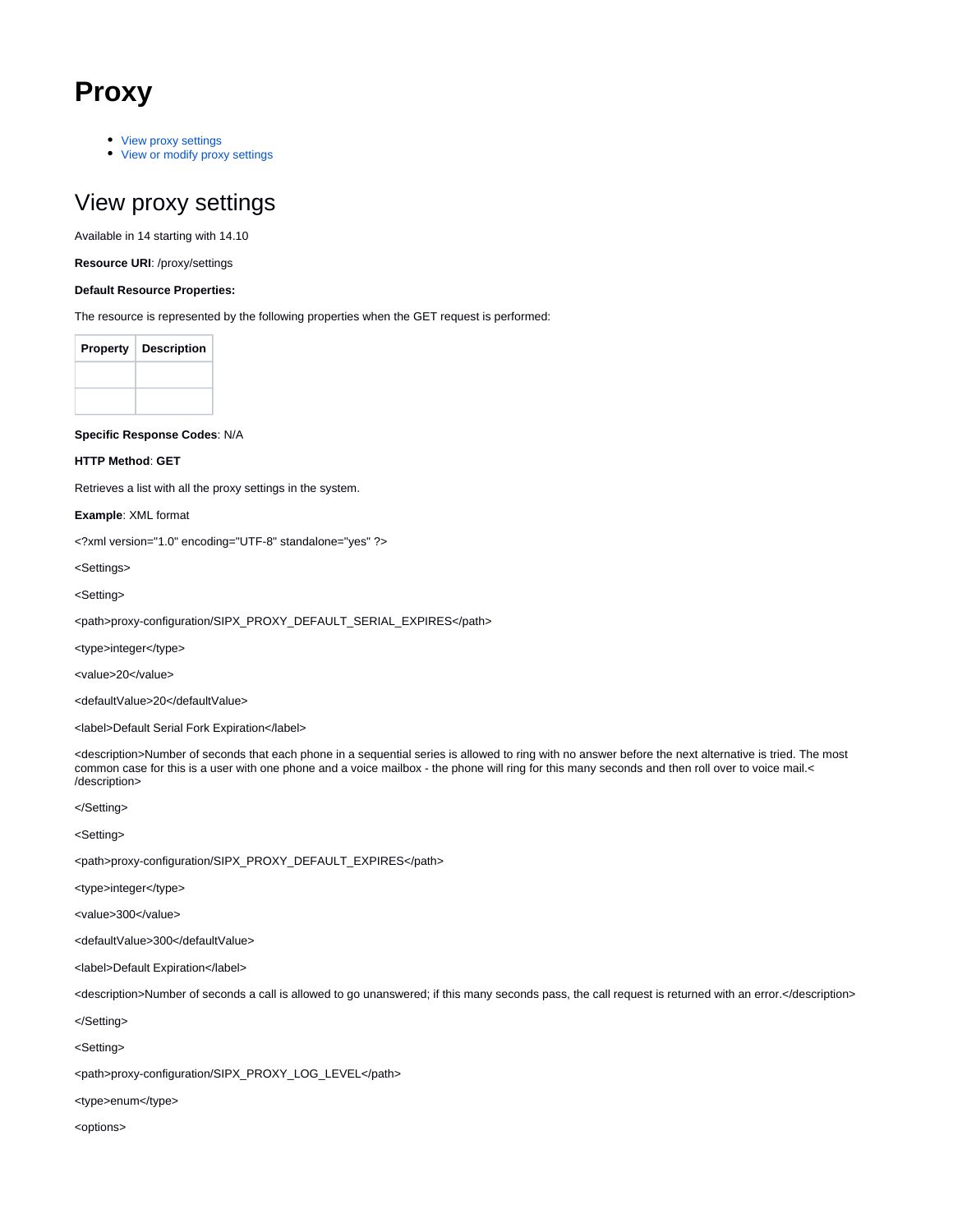# **Proxy**

- [View proxy settings](#page-0-0)
- [View or modify proxy settings](#page-4-0)

# <span id="page-0-0"></span>View proxy settings

Available in 14 starting with 14.10

**Resource URI**: /proxy/settings

#### **Default Resource Properties:**

The resource is represented by the following properties when the GET request is performed:

| <b>Property</b> | <b>Description</b> |
|-----------------|--------------------|
|                 |                    |
|                 |                    |

**Specific Response Codes**: N/A

#### **HTTP Method**: **GET**

Retrieves a list with all the proxy settings in the system.

**Example**: XML format

<?xml version="1.0" encoding="UTF-8" standalone="yes" ?>

<Settings>

<Setting>

<path>proxy-configuration/SIPX\_PROXY\_DEFAULT\_SERIAL\_EXPIRES</path>

<type>integer</type>

<value>20</value>

<defaultValue>20</defaultValue>

<label>Default Serial Fork Expiration</label>

<description>Number of seconds that each phone in a sequential series is allowed to ring with no answer before the next alternative is tried. The most common case for this is a user with one phone and a voice mailbox - the phone will ring for this many seconds and then roll over to voice mail.< /description>

</Setting>

<Setting>

<path>proxy-configuration/SIPX\_PROXY\_DEFAULT\_EXPIRES</path>

<type>integer</type>

<value>300</value>

<defaultValue>300</defaultValue>

<label>Default Expiration</label>

<description>Number of seconds a call is allowed to go unanswered; if this many seconds pass, the call request is returned with an error.</description>

</Setting>

<Setting>

<path>proxy-configuration/SIPX\_PROXY\_LOG\_LEVEL</path>

<type>enum</type>

<options>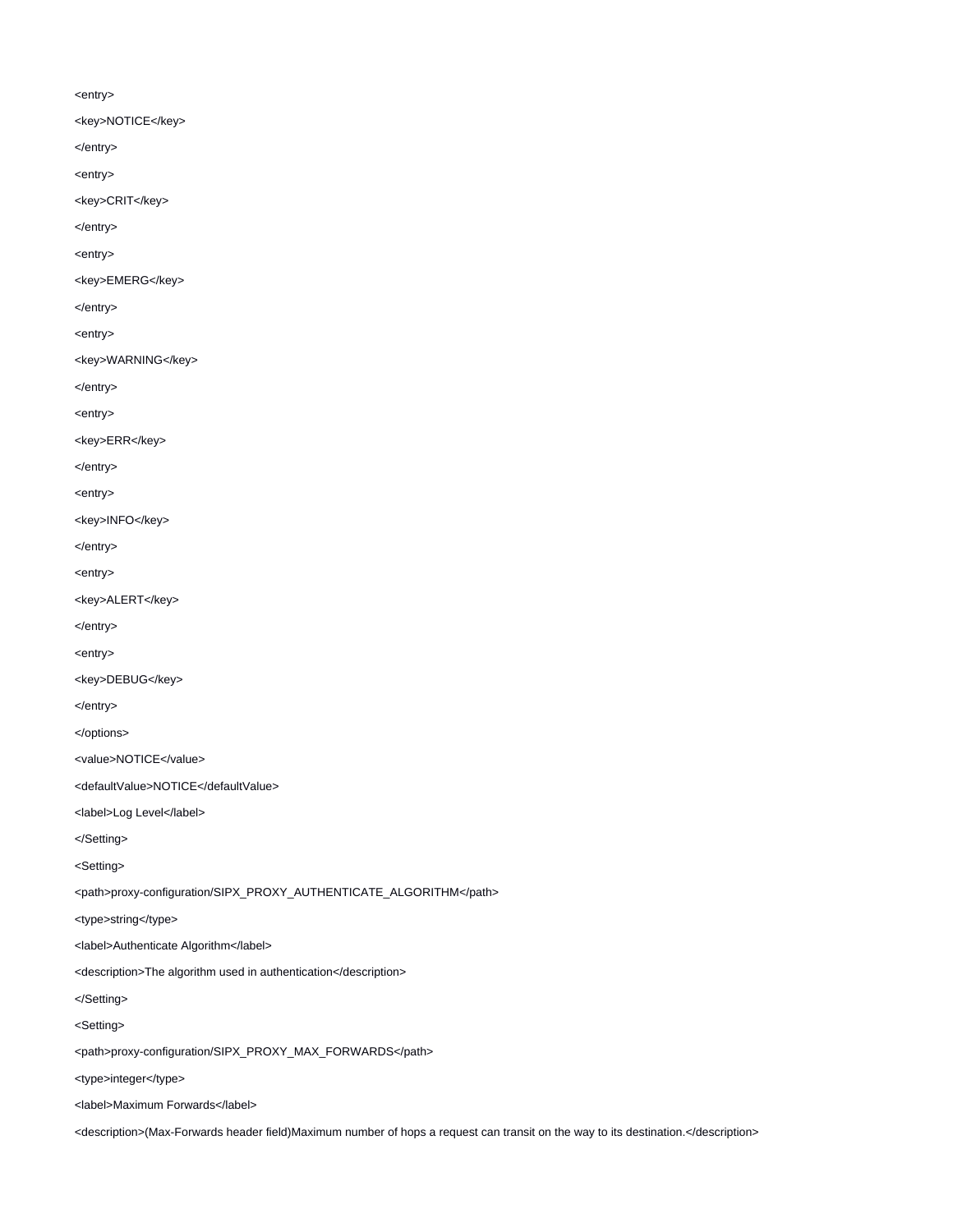#### <entry>

- <key>NOTICE</key>
- </entry>
- <entry>
- <key>CRIT</key>
- </entry>
- <entry>
- <key>EMERG</key>
- </entry>
- <entry>
- <key>WARNING</key>
- </entry>
- <entry>
- <key>ERR</key>
- </entry>
- <entry>
- <key>INFO</key>
- </entry>
- <entry>
- <key>ALERT</key>
- </entry>
- <entry>
- <key>DEBUG</key>
- </entry>
- </options>
- <value>NOTICE</value>
- <defaultValue>NOTICE</defaultValue>
- <label>Log Level</label>
- </Setting>
- <Setting>
- <path>proxy-configuration/SIPX\_PROXY\_AUTHENTICATE\_ALGORITHM</path>
- <type>string</type>
- <label>Authenticate Algorithm</label>
- <description>The algorithm used in authentication</description>
- </Setting>
- <Setting>
- <path>proxy-configuration/SIPX\_PROXY\_MAX\_FORWARDS</path>
- <type>integer</type>
- <label>Maximum Forwards</label>
- <description>(Max-Forwards header field)Maximum number of hops a request can transit on the way to its destination.</description>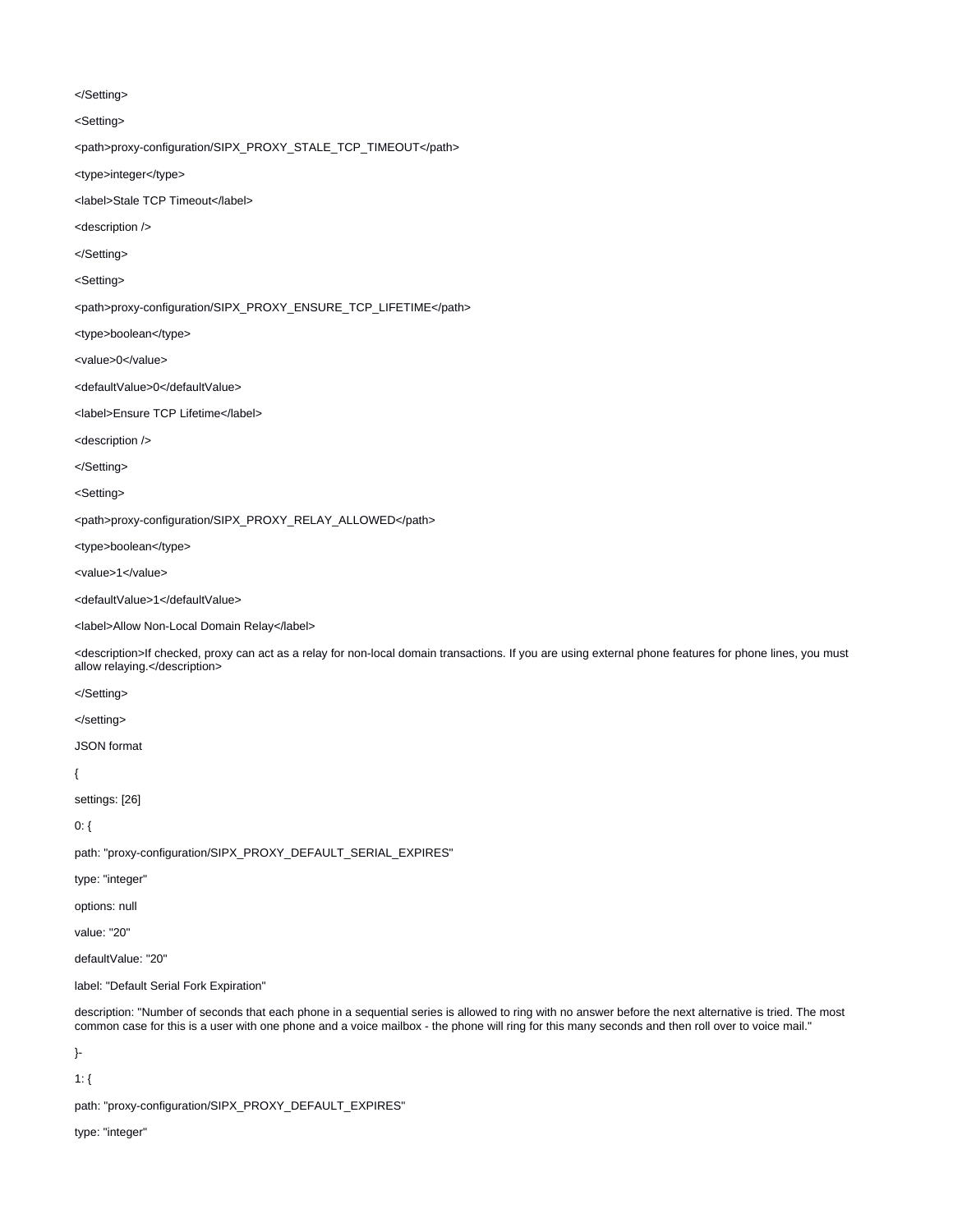</Setting>

<Setting>

<path>proxy-configuration/SIPX\_PROXY\_STALE\_TCP\_TIMEOUT</path>

<type>integer</type>

<label>Stale TCP Timeout</label>

<description />

</Setting>

<Setting>

<path>proxy-configuration/SIPX\_PROXY\_ENSURE\_TCP\_LIFETIME</path>

<type>boolean</type>

<value>0</value>

<defaultValue>0</defaultValue>

<label>Ensure TCP Lifetime</label>

<description />

</Setting>

<Setting>

<path>proxy-configuration/SIPX\_PROXY\_RELAY\_ALLOWED</path>

<type>boolean</type>

<value>1</value>

<defaultValue>1</defaultValue>

<label>Allow Non-Local Domain Relay</label>

<description>If checked, proxy can act as a relay for non-local domain transactions. If you are using external phone features for phone lines, you must allow relaying.</description>

</Setting>

</setting>

JSON format

{

settings: [26]

0: {

path: "proxy-configuration/SIPX\_PROXY\_DEFAULT\_SERIAL\_EXPIRES"

type: "integer"

options: null

value: "20"

defaultValue: "20"

label: "Default Serial Fork Expiration"

description: "Number of seconds that each phone in a sequential series is allowed to ring with no answer before the next alternative is tried. The most common case for this is a user with one phone and a voice mailbox - the phone will ring for this many seconds and then roll over to voice mail."

}-

1: {

path: "proxy-configuration/SIPX\_PROXY\_DEFAULT\_EXPIRES"

type: "integer"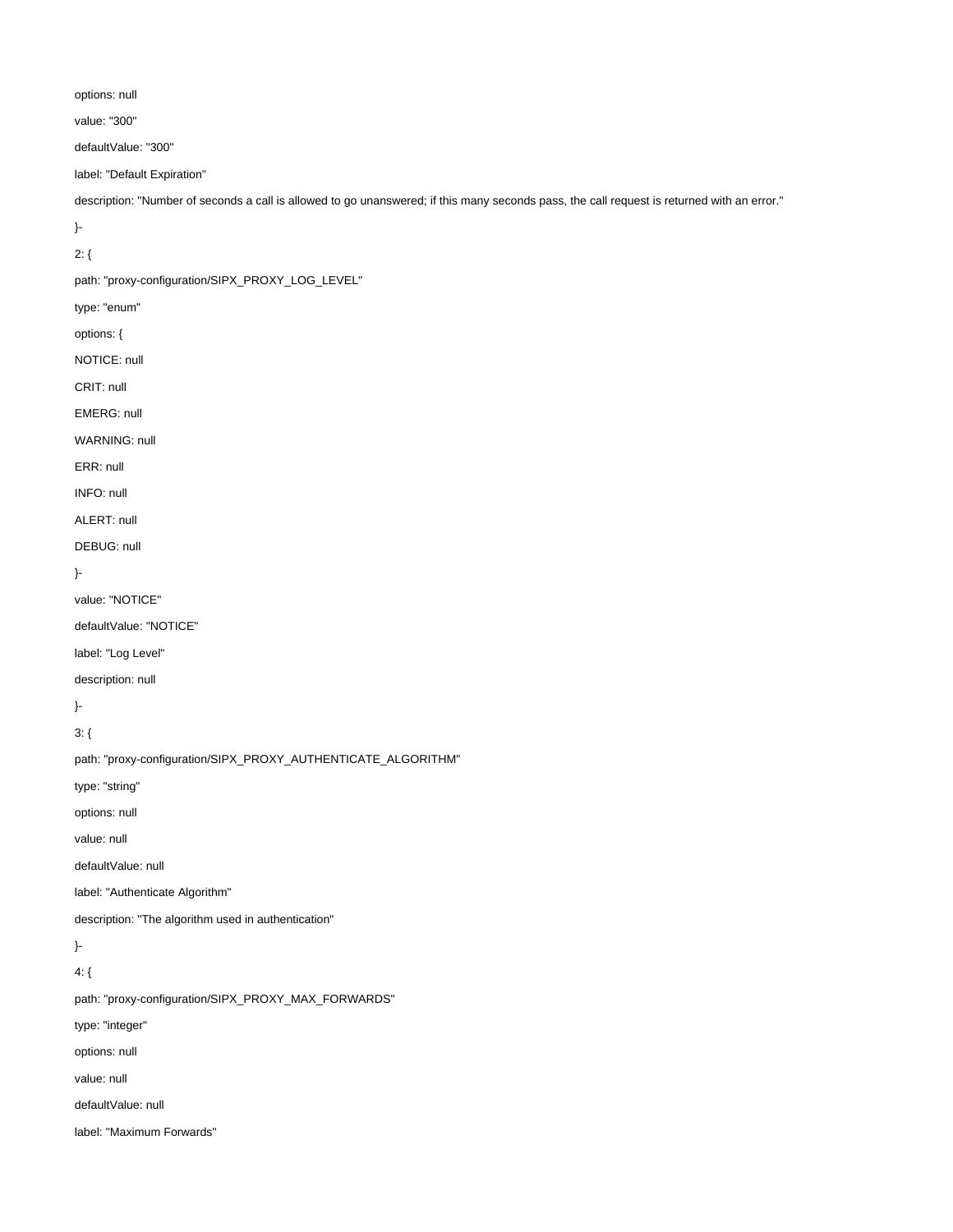options: null

value: "300"

defaultValue: "300"

label: "Default Expiration"

description: "Number of seconds a call is allowed to go unanswered; if this many seconds pass, the call request is returned with an error."

}-

2: {

path: "proxy-configuration/SIPX\_PROXY\_LOG\_LEVEL"

type: "enum"

options: {

NOTICE: null

CRIT: null

EMERG: null

WARNING: null

ERR: null

INFO: null

ALERT: null

DEBUG: null

}-

value: "NOTICE"

defaultValue: "NOTICE"

label: "Log Level"

description: null

}-

3: {

path: "proxy-configuration/SIPX\_PROXY\_AUTHENTICATE\_ALGORITHM" type: "string"

options: null

value: null

defaultValue: null

label: "Authenticate Algorithm"

description: "The algorithm used in authentication"

}-

4: {

path: "proxy-configuration/SIPX\_PROXY\_MAX\_FORWARDS"

type: "integer"

options: null

value: null

defaultValue: null

label: "Maximum Forwards"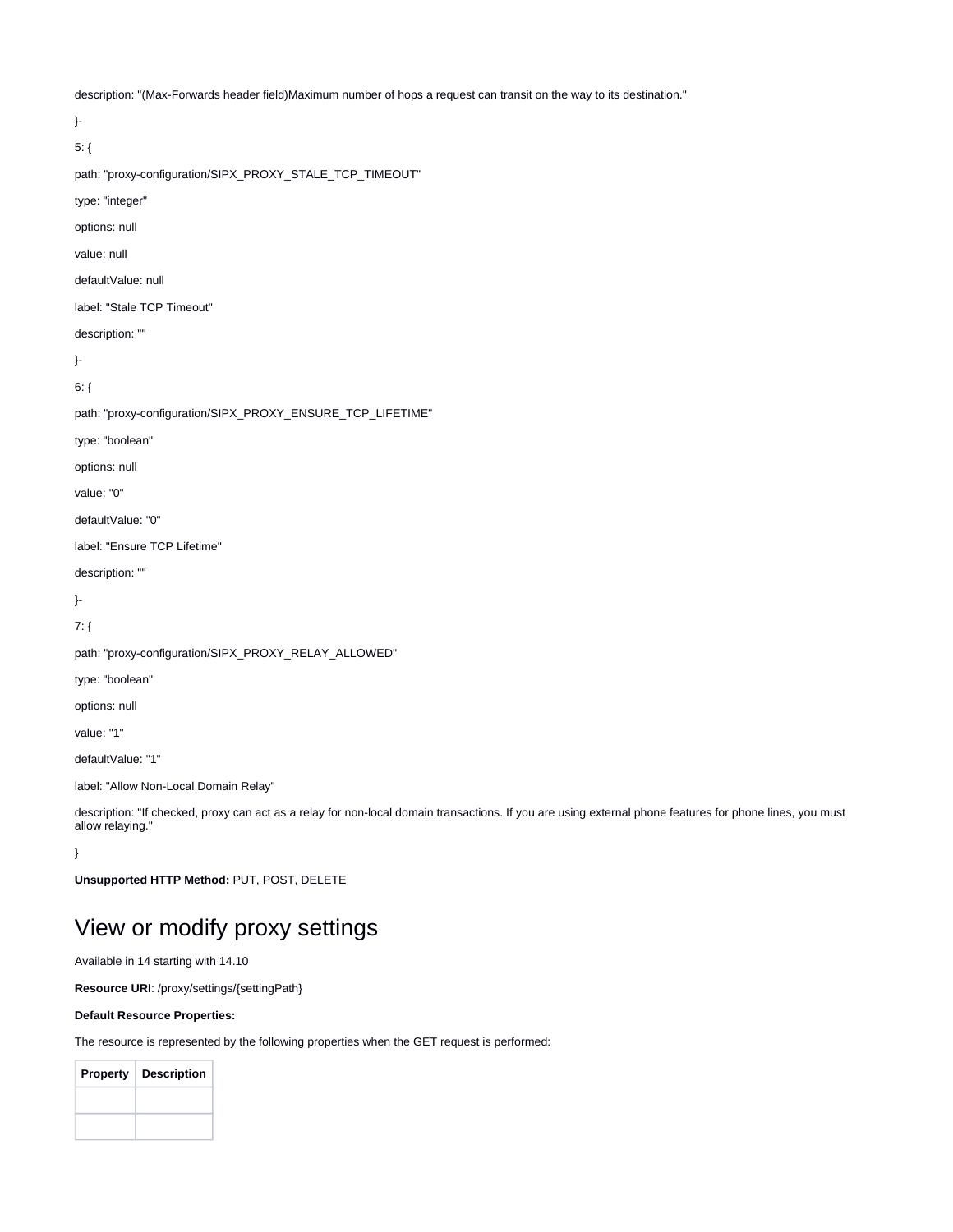description: "(Max-Forwards header field)Maximum number of hops a request can transit on the way to its destination."

}- 5: { path: "proxy-configuration/SIPX\_PROXY\_STALE\_TCP\_TIMEOUT" type: "integer" options: null value: null defaultValue: null label: "Stale TCP Timeout" description: "" }-  $6:$  { path: "proxy-configuration/SIPX\_PROXY\_ENSURE\_TCP\_LIFETIME" type: "boolean" options: null value: "0" defaultValue: "0" label: "Ensure TCP Lifetime" description: "" }- 7: { path: "proxy-configuration/SIPX\_PROXY\_RELAY\_ALLOWED" type: "boolean" options: null value: "1" defaultValue: "1" label: "Allow Non-Local Domain Relay"

description: "If checked, proxy can act as a relay for non-local domain transactions. If you are using external phone features for phone lines, you must allow relaying."

}

**Unsupported HTTP Method:** PUT, POST, DELETE

## <span id="page-4-0"></span>View or modify proxy settings

Available in 14 starting with 14.10

**Resource URI**: /proxy/settings/{settingPath}

#### **Default Resource Properties:**

The resource is represented by the following properties when the GET request is performed:

| <b>Property</b> | <b>Description</b> |
|-----------------|--------------------|
|                 |                    |
|                 |                    |